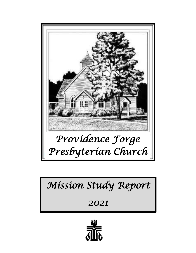

#### *Mission Statement Team Report Contents Mission Study Report*

*2021* 

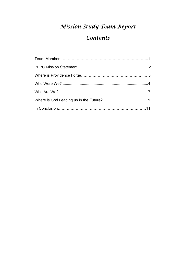# *Mission Study Team Report*

# *Contents*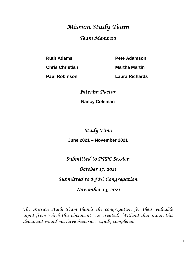# *Mission Study Team Team Members*

**Ruth Adams Pete Adamson** 

**Chris Christian Martha Martin**

**Paul Robinson Laura Richards**

*Interim Pastor* 

**Nancy Coleman**

*Study Time* 

**June 2021 – November 2021**

*Submitted to PFPC Session* 

*October 17, 2021* 

*Submitted to PFPC Congregation* 

*November 14, 2021* 

*The Mission Study Team thanks the congregation for their valuable input from which this document was created. Without that input, this document would not have been successfully completed.*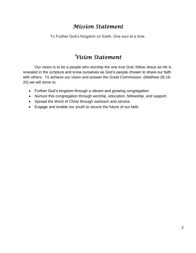## *Mission Statement*

To Further God's Kingdom on Earth, One soul at a time.

# *Vision Statement*

Our vision is to be a people who worship the one true God, follow Jesus as He is revealed in the scripture and know ourselves as God's people chosen to share our faith with others. To achieve our vision and answer the Great Commission, (Matthew 28:16- 20) we will strive to:

- Further God's kingdom through a vibrant and growing congregation.
- Nurture this congregation through worship, education, fellowship, and support.
- Spread the Word of Christ through outreach and service.
- Engage and enable our youth to secure the future of our faith.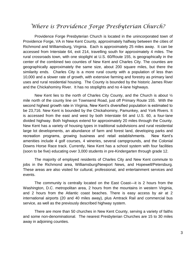#### *Where is Providence Forge Presbyterian Church?*

Providence Forge Presbyterian Church is located in the unincorporated town of Providence Forge, VA in New Kent County, approximately halfway between the cities of Richmond and Williamsburg, Virginia. Each is approximately 25 miles away. It can be accessed from Interstate 64, exit 214, travelling south for approximately 4 miles. The rural crossroads town, with one stoplight at U.S. 60/Route 155, is geographically in the center of the combined two counties of New Kent and Charles City. The counties are geographically approximately the same size, about 200 square miles, but there the similarity ends. Charles City is a more rural county with a population of less than 10,000 and a slower rate of growth, with extensive farming and forestry as primary land uses and rural residential housing. The County is bounded by the historic James River and the Chickahominy River. It has no stoplights and no 4-lane highways.

New Kent lies to the north of Charles City County, and the Church is about  $\frac{1}{2}$ mile north of the county line on Townsend Road, just off Primary Route 155. With the second highest growth rate in Virginia, New Kent's diversified population is estimated to be 23,716. New Kent is bounded by the Chickahominy, Pamunkey, and York Rivers. It is accessed from the east and west by both Interstate 64 and U.S. 60, a four-lane divided highway. Both highways extend for approximately 20 miles through the County. New Kent has a variety of housing types in traditional subdivisions and rural residential large lot developments, an abundance of farm and forest land, developing parks and recreation programs, growing business and retail establishments. New Kent's amenities include 4 golf courses, 4 wineries, several campgrounds, and the Colonial Downs Horse Race track. Currently, New Kent has a school system with four facilities (soon to be five) educating over 3,000 students in pre-Kindergarten through grade 12.

The majority of employed residents of Charles City and New Kent commute to jobs in the Richmond area, Williamsburg/Newport News, and Hopewell/Petersburg. These areas are also visited for cultural, professional, and entertainment services and events.

The community is centrally located on the East Coast—it is 2 hours from the Washington, D.C. metropolitan area, 2 hours from the mountains in western Virginia, and 2 hours from the Atlantic coast beaches. There is easy access by air at 2 international airports (20 and 40 miles away), plus Amtrack Rail and commercial bus service, as well as the previously described highway system.

There are more than 50 churches in New Kent County, serving a variety of faiths and some non-denominational. The nearest Presbyterian Churches are 15 to 30 miles away in adjoining counties.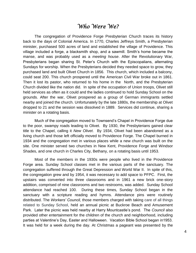#### *Who Were We?*

The congregation of Providence Forge Presbyterian Church traces its history back to the days of Colonial America. In 1770, Charles Jeffreys Smith, a Presbyterian minister, purchased 500 acres of land and established the village of Providence. This village included a forge, a blacksmith shop, and a sawmill. Smith's home became the manse, and was probably used as a *meeting house*. After the Revolutionary War, Presbyterians began sharing St. Peter's Church with the Episcopalians, alternating Sundays for worship. When the Presbyterians decided they needed space to grow, they purchased land and built Olivet Church in 1856. This church, which included a balcony, could seat 200. This church prospered until the American Civil War broke out in 1861. Then it lost its pastor, who returned to his home in the North, and the Presbyterian Church divided like the nation did. In spite of the occupation of Union troops, Olivet still held services as often as it could and the ladies continued to hold Sunday School on the grounds. After the war, Olivet prospered as a group of German immigrants settled nearby and joined the church. Unfortunately by the late 1880s, the membership at Olivet dropped to 21 and the session was dissolved in 1889. Services did continue, sharing a minister on a rotating basis.

Much of the congregation moved to Townsend's Chapel in Providence Forge due to the poor, swampy roads leading to Olivet. By 1930, the Presbyterians gained clear title to the Chapel, calling it *New Olivet*. By 1934, Olivet had been abandoned as a living church and those left officially moved to Providence Forge. The Chapel burned in 1934 and the congregation met in various places while a new church was built on the site. One minister served two churches in New Kent, Providence Forge and Windsor Shades, and one church in Charles City, Bethany, on a rotating basis until 1953.

Most of the members in the 1930s were people who lived in the Providence Forge area. Sunday School classes met in the various parts of the sanctuary. The congregation suffered through the Great Depression and World War II. In spite of this, the congregation grew and by 1954, it was necessary to add space to PFPC. First, the upstairs was converted into three classrooms and in 1961 a new brick one-story addition, comprised of nine classrooms and two restrooms, was added. Sunday School attendance had reached 100. During these times, Sunday School began in the sanctuary with a scripture reading and hymns. Attendance pins were routinely distributed. The *Workers' Council,* those members charged with taking care of all things related to Sunday School, held an annual picnic at Buckroe Beach and Amusement Park. Later the picnic was held nearby at Harry Mountcastle's pond. The *Council* also provided other entertainment for the children of the church and neighborhood, including parties at Valentine's Day, Easter and Halloween. Vacation Bible School began in1953. It was held for a week during the day. At Christmas a pageant was presented by the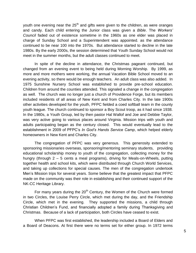youth one evening near the  $25<sup>th</sup>$  and gifts were given to the children, as were oranges and candy. Each child entering the Junior class was given a *Bible*. The *Workers' Council* faded out of existence sometime in the 1960s as one elder was placed in charge of Sunday School and a Superintendent was appointed. as the attendance continued to be near 100 into the 1970s. But attendance started to decline in the late 1980s. By the early 2000s, the session determined that Youth Sunday School would not meet in the summer months, but the adult classes continued to meet.

In spite of the decline in attendance, the Christmas pageant continued, but changed from an evening event to being held during Morning Worship. By 1999, as more and more mothers were working, the annual Vacation Bible School moved to an evening activity, so there would be enough teachers. An adult class was also added. In 1975 Sunshine Nursery School was established to provide pre-school education. Children from around the counties attended. This signaled a change in the congregation as well. The church was no longer just a church of Providence Forge, but its members included residents of all areas of New Kent and from Charles City. In the late 1900s other activities developed for the youth, PFPC fielded a coed softball team in the county youth league. The church continued to sponsor a Boy Scout troop, as it had since 1938. In the 1980s, a Youth Group, led by then pastor Hal Wallof and Joe and Debbie Taylor, was very active going to various places around Virginia. Mission trips with youth and adults participating began as the century closed. This would eventually lead to the establishment in 2009 of PFPC's *In God's Hands Service Camp*, which helped elderly homeowners in New Kent and Charles City.

The congregation of PFPC was very generous. This generosity extended to sponsoring missionaries overseas, sponsoring/mentoring seminary students, providing educational scholarship money to youth of the congregation, collecting money for the hungry (through 2 – 5 cents a meal programs), driving for Meals-on-Wheels, putting together health and school kits, which were distributed through Church World Services, and taking up collections for special causes. The men of the congregation undertook Men's Mission trips for several years. Some believe that the greatest impact that PFPC made on the community was their role in establishing and their continued support of the NK-CC Heritage Library.

For many years during the  $20<sup>th</sup>$  Century, the Women of the Church were formed in two Circles, the Louise Perry Circle, which met during the day, and the Friendship Circle, which met in the evening. They supported the missions, a child through Christian Children's Fund, and financially adopted a family during Thanksgiving and Christmas. Because of a lack of participation, both Circles have ceased to exist.

When PFPC was first established, the leadership included a Board of Elders and a Board of Deacons. At first there were no terms set for either group. In 1972 terms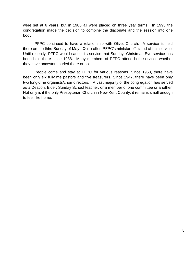were set at 6 years, but in 1985 all were placed on three year terms. In 1995 the congregation made the decision to combine the diaconate and the session into one body.

PFPC continued to have a relationship with Olivet Church. A service is held there on the third Sunday of May. Quite often PFPC's minister officiated at this service. Until recently, PFPC would cancel its service that Sunday. Christmas Eve service has been held there since 1988. Many members of PFPC attend both services whether they have ancestors buried there or not.

People come and stay at PFPC for various reasons. Since 1953, there have been only six full-time pastors and five treasurers. Since 1947, there have been only two long-time organists/choir directors. A vast majority of the congregation has served as a Deacon, Elder, Sunday School teacher, or a member of one committee or another. Not only is it the only Presbyterian Church in New Kent County, it remains small enough to feel like home.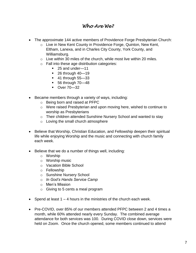#### *Who Are We?*

- The approximate 144 active members of Providence Forge Presbyterian Church:
	- o Live in New Kent County in Providence Forge, Quinton, New Kent, Eltham, Lanexa, and in Charles City County, York County, and Williamsburg.
	- $\circ$  Live within 30 miles of the church, while most live within 20 miles.
	- o Fall into these age distribution categories:
		- 25 and under-11
		- **26 through 40-19**
		- **41 through 55-33**
		- 56 through 70–48
		- Over 70-32
- Became members through a variety of ways, including:
	- o Being born and raised at PFPC
	- o Were raised Presbyterian and upon moving here, wished to continue to worship as Presbyterians
	- o Their children attended Sunshine Nursery School and wanted to stay
	- o Loving the small church atmosphere
- Believe that Worship, Christian Education, and Fellowship deepen their spiritual life while enjoying Worship and the music and connecting with church family each week.
- Believe that we do a number of things well, including:
	- o Worship
	- o Worship music
	- o Vacation Bible School
	- o Fellowship
	- o Sunshine Nursery School
	- o *In God's Hands Service Camp*
	- o Men's Mission
	- $\circ$  Giving to 5 cents a meal program
- $\bullet$  Spend at least 1 4 hours in the ministries of the church each week.
- Pre-COVID, over 85% of our members attended PFPC between 2 and 4 times a month, while 60% attended nearly every Sunday. The combined average attendance for both services was 100. During COVID close down, services were held on Zoom. Once the church opened, some members continued to attend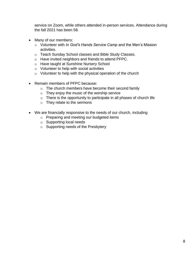service on Zoom, while others attended in-person services. Attendance during the fall 2021 has been 58.

- Many of our members:
	- o Volunteer with *In God's Hands Service Camp* and the Men's Mission activities.
	- o Teach Sunday School classes and Bible Study Classes.
	- o Have invited neighbors and friends to attend PFPC.
	- o Have taught at Sunshine Nursery School
	- o Volunteer to help with social activities
	- $\circ$  Volunteer to help with the physical operation of the church
- Remain members of PFPC because:
	- o The church members have become their second family
	- o They enjoy the music of the worship service
	- o There is the opportunity to participate in all phases of church life
	- o They relate to the sermons
- We are financially responsive to the needs of our church, including
	- o Preparing and meeting our budgeted items
	- o Supporting local needs
	- o Supporting needs of the Presbytery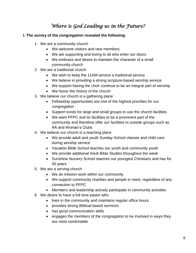### *Where is God Leading us in the Future?*

- **I. The survey of the congregation revealed the following:**
	- 1. We are a community church
		- We welcome visitors and new members
		- We are supporting and loving to all who enter our doors
		- We embrace and desire to maintain the character of a small community church
	- 2. We are a traditional church
		- We wish to keep the 11AM service a traditional service
		- We believe in providing a strong scripture-based worship service
		- We support having the choir continue to be an integral part of worship
		- We honor the history of the church
	- 3. We believe our church is a gathering place
		- Fellowship opportunities are one of the highest priorities for our congregation
		- Support exists for large and small groups to use the church facilities
		- We want PFPC and its facilities to be a prominent part of the community and therefore offer our facilities to outside groups such as AA and Woman's Clubs
	- 4. We believe our church is a teaching place
		- We provide adult and youth Sunday School classes and child care during worship service
		- Vacation Bible School teaches our youth and community youth
		- We provide additional Adult Bible Studies throughout the week
		- Sunshine Nursery School teaches our youngest Christians and has for 45 years
	- 5. We are a serving church
		- We do mission work within our community
		- We support community charities and people in need, regardless of any connection to PFPC
		- Members and leadership actively participate in community activities
	- 6. We desire to have a full time pastor who
		- lives in the community and maintains regular office hours
		- provides strong Biblical based sermons
		- has good communication skills
		- engages the members of the congregation to be involved in ways they are most comfortable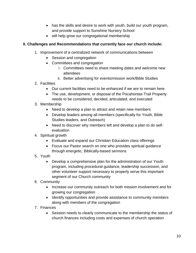- has the skills and desire to work with youth, build our youth program, and provide support to Sunshine Nursery School
- will help grow our congregational membership

#### **II. Challenges and Recommendations that currently face our church include:**

- 1. Improvement of a centralized network of communications between
	- Session and congregation
	- Committees and congregation
		- i. Committees need to share meeting dates and welcome new attendees
		- ii. Better advertising for events/mission work/Bible Studies
- 2. Facilities
	- Our current facilities need to be enhanced if we are to remain here
	- The use, development, or disposal of the Pocahontas Trail Property needs to be considered, decided, articulated, and executed
- 3. Membership
	- Need to develop a plan to attract and retain new members
	- Develop leaders among all members (specifically for Youth, Bible Studies leaders, and Outreach)
	- Need to discover why members left and develop a plan to do selfevaluation
- 4. Spiritual growth
	- Evaluate and expand our Christian Education class offerings
	- Focus our Pastor search on one who provides spiritual quidance through energetic, Biblically-based sermons
- 5. Youth
	- Develop a comprehensive plan for the administration of our Youth program, including procedural guidance, leadership succession, and other volunteer support necessary to properly serve this important segment of our Church community
- 6. Community
	- Increase our community outreach for both mission involvement and for growing our congregation
	- Identify opportunities and provide assistance to community members along with members of the congregation
- 7. Finances
	- Session needs to clearly communicate to the membership the status of church finances including costs and expenses of church operation